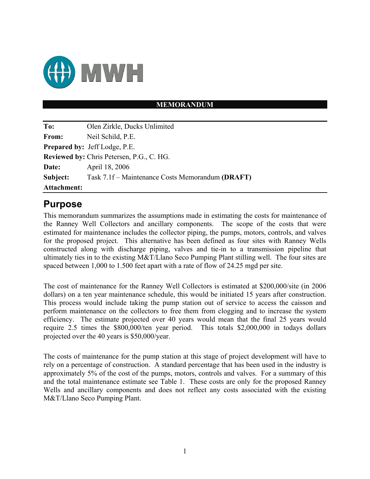

## **MEMORANDUM**

| To:                | Olen Zirkle, Ducks Unlimited                     |
|--------------------|--------------------------------------------------|
| From:              | Neil Schild, P.E.                                |
|                    | <b>Prepared by: Jeff Lodge, P.E.</b>             |
|                    | <b>Reviewed by: Chris Petersen, P.G., C. HG.</b> |
| Date:              | April 18, 2006                                   |
| Subject:           | Task 7.1f – Maintenance Costs Memorandum (DRAFT) |
| <b>Attachment:</b> |                                                  |

## **Purpose**

This memorandum summarizes the assumptions made in estimating the costs for maintenance of the Ranney Well Collectors and ancillary components. The scope of the costs that were estimated for maintenance includes the collector piping, the pumps, motors, controls, and valves for the proposed project. This alternative has been defined as four sites with Ranney Wells constructed along with discharge piping, valves and tie-in to a transmission pipeline that ultimately ties in to the existing M&T/Llano Seco Pumping Plant stilling well. The four sites are spaced between 1,000 to 1.500 feet apart with a rate of flow of 24.25 mgd per site.

The cost of maintenance for the Ranney Well Collectors is estimated at \$200,000/site (in 2006 dollars) on a ten year maintenance schedule, this would be initiated 15 years after construction. This process would include taking the pump station out of service to access the caisson and perform maintenance on the collectors to free them from clogging and to increase the system efficiency. The estimate projected over 40 years would mean that the final 25 years would require 2.5 times the \$800,000/ten year period. This totals \$2,000,000 in todays dollars projected over the 40 years is \$50,000/year.

The costs of maintenance for the pump station at this stage of project development will have to rely on a percentage of construction. A standard percentage that has been used in the industry is approximately 5% of the cost of the pumps, motors, controls and valves. For a summary of this and the total maintenance estimate see Table 1. These costs are only for the proposed Ranney Wells and ancillary components and does not reflect any costs associated with the existing M&T/Llano Seco Pumping Plant.